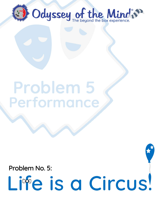

## Problem 5 Performance

Problem No. 5:

# Life is a Circus!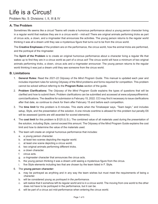### Life is a Circus!

Problem No. 5: Divisions: I, II, III & IV

#### **A. The Problem**

Sometimes life seems like a circus! Teams will create a humorous performance about a young person character living in a regular world that realizes they are in a circus world – mid-act! There are original animals performing tricks as part of circus acts, a clown, and a ringmaster that announces the activities. The young person returns to the regular world thinking it was all a dream until they see a mysterious figure that turns out to be from the circus world.

The **Creative Emphases** of the problem are on the performance, the circus world, how the animal tricks are performed, and the portrayal of the ringmaster.

The **Spirit of the Problem** is to create an original humorous performance about a character living a regular life that wakes up to find they are in a circus world as part of a circus act! The circus world will have a minimum of two original animals performing tricks, a clown, circus acts and a ringmaster announcer. The young person returns to the regular world thinking it was just a dream until they see someone from the circus world.

#### **B. Limitations**

- 1. **General Rules:** Read the *2021-22 Odyssey of the Mind Program Guide*. This manual is updated each year and includes important rules for solving Odyssey of the Mind problems and forms required for competition. This problem cannot be solved without referring to the **Program Rules** section of the guide.
- 2. **Problem Clarifications:** The *Odyssey of the Mind Program Guide* explains the types of questions that will be clarified and how to submit them. Problem clarifications can be submitted and accessed at www.odysseyofthemind. com/clarifications. The deadline for submission is February 15, 2022. CCI may find it necessary to issue clarifications after that date, so continue to check for them after February 15 and before each competition.
- 3. The **time limit** for this problem is 8 minutes. This starts when the Timekeeper says, "Team begin," and includes setup, Style, and the presentation of the solution. A one minute overtime is allowed for this problem but penalty E6 will be assessed (points are still awarded for scored elements).
- 4. The **cost limit** for this problem is \$125 (U.S.). The combined value of all materials used during the presentation of the solution, including Style, cannot exceed this amount. The Odyssey of the Mind Program Guide explains the cost limit and how to determine the value of the materials used.
- 5. The team will create an original humorous performance that includes:
	- a. a young person character.
	- b. at least two scenes depicting the regular world.
	- c. at least one scene depicting a circus world.
	- d. two original animals performing different tricks.
	- e. a clown character.
	- f. circus acts.
	- g. a ringmaster character that announces the circus acts.
	- h. the young person thinking it was a dream until seeing a mysterious figure from the circus.
	- i. five Style elements including two that are chosen by the team listed in F. Style.

#### 6. The **young person character:**

- a. may be portrayed as anything and in any way the team wishes but must meet the requirements of being a character.
- b. will be considered young *as portrayed in the performance.*
- c. will realize that it somehow left its regular world and is in a circus world. The moving from one world to the other does not have to be portrayed in the performance, but it can be.
- d. will be part of a circus act mid-performance when entering the circus world.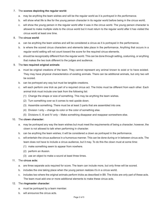#### 7. The **scenes depicting the regular world:**

- a. may be anything the team wishes and will be the regular world as it is *portrayed in the performance.*
- b. will show what life is like for the young person character in its regular world before being in the circus world.
- c. will show the young person in the regular world after it was in the circus world. The young person character is allowed to make multiple visits to the circus world but it must return to the regular world after it has visited the circus world at least one time.

#### 8. The **circus world**:

- a. can be anything the team wishes and will be considered a circus as it is portrayed in the performance.
- b. is where the scored circus characters and elements take place in the performance. Anything that occurs in a regular world setting will not count toward the score for the required circus elements.
- c. should be recognizably different from the regular world. This can be done through setting, costuming, or anything that makes the two look different to the judges and audience.

#### 9. The **two required original animals**:

- a. must be original creations of the team. They cannot represent any animal known to exist or to have existed. They may have physical characteristics of existing animals. There can be additional animals, but only two will be scored.
- b. can be portrayed any way but must be tangible creations.
- c. will each perform one trick as part of a required circus act. The tricks must be different from each other. Each animal trick must include one task from the following list:
	- (1) Change the shape or size of something. This may be anything the team wishes.
	- (2) Turn something over so it comes to rest upside down.
	- (3) Assemble something. There must be at least 3 parts that are assembled into one.
	- (4) Division I only change its color or the color of something else.
	- (5) Divisions II, III and IV only Make something disappear and reappear somewhere else.

#### 10. The **clown character:**

- a. may be portrayed any way the team wishes but must meet the requirements of being a character; however, the clown is not allowed to talk when performing in character.
- b. can be anything the team wishes; it will be considered a clown as portrayed in the performance.
- c. will entertain the circus audience in a humorous manner. This can be done during or in between circus acts. The team does not have to include a circus audience, but it may. To do this the clown must at some time:
	- (1) make something seem to appear from nowhere.
	- (2) perform an illusion.
	- (3) use an object to make a sound at least three times.

#### 11. The **circus acts:**

- a. are three separate acts required for score. The team can include more, but only three will be scored.
- b. includes the one taking place when the young person realizes it's in a circus world.
- c. includes two where the original animals perform tricks as described in B9. The tricks are only part of these acts. The team must add one or more additional elements to make these circus acts.

#### 12. The **ringmaster character**:

- a. must be portrayed by a team member.
- b. will announce the circus acts.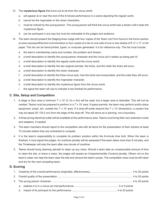- 13. The **mysterious figure** that turns out to be from the circus world:
	- a. will appear at or near the end of the 8-minute performance in a scene depicting the regular world.
	- b. cannot be the ringmaster or the clown characters.
	- c. must be noticed by the young person. The young person will think the circus world was a dream until it sees the mysterious figure.
	- d. can be portrayed in any way but must be noticeable to the judges and audience.
- 14. The team should present the Staging Area Judge with four copies of the Team List Form found in the forms section at *www.odysseyofthemind.com/members* or four copies of a list on one side of one or two sheets of 8 ½" x 11" or A4 paper. This list can be hand-printed, typed, or computer generated. It is for reference only. This list must include:
	- a. the team's membership name and number, the problem and division.
	- b. a brief description to identify the young person character and the circus act it wakes up being part of.
	- c. a brief description to identify the regular world and the circus world.
	- d. a brief description to identify the two original animals, the tricks, and the order the tricks will occur.
	- e. a brief description to identify the clown character.
	- f. a brief description to identify the three circus acts, how the tricks are incorporated, and the order they will occur.
	- g. a brief description to identify the ringmaster character.
	- h. a brief description to identify the mysterious figure from the circus world.
	- i. the signal the team will use to indicate it has finished its performance.

#### **C. Site, Setup and Competition**

- 1. A stage or floor area a minimum 7' x 10' (2.1m x 3m) will be used, but a larger area is desirable. This will not be marked. Teams must be prepared to perform in a 7' x 10' area. If space permits, the team may perform and/or place equipment, props, etc. outside the 7' x 10' area. If a drop-off exists beyond the 7' x 10' dimensions, a caution line may be taped 30" (76.2 cm) from the edge of the drop-off. This will serve as a warning, not a boundary.
- 2. A three-prong electrical outlet will be available at the performance area. Teams must bring their own extension cords and adapters, if needed.
- 3. The team members should report to the competition site with all items for the presentation of their solution at least 15 minutes before they are scheduled to compete.
- 4. It is the team's responsibility to complete its problem solution within the 8-minute time limit. When the team is finished, it must signal the judges. An overtime penalty will be assessed if the team takes more than 8 minutes, and the Timekeeper will stop the team after one minute of overtime.
- 5. Teams should bring cleaning utensils to clean up any mess. Should a team take an unreasonable amount of time to clean the site, or leave a mess, the judges will assess an Unsportsmanlike Conduct penalty. Others not on the team's roster can help the team clear the site and remove the team's props. The competition area must be left clean and dry for the next competing team.

#### **D. Scoring**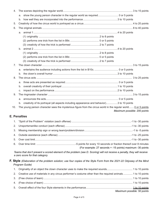| 4.  |                              |                                                                                                                |  |  |  |
|-----|------------------------------|----------------------------------------------------------------------------------------------------------------|--|--|--|
|     | a.                           | show the young person character in the regular world as required 0 or 5 points                                 |  |  |  |
|     |                              |                                                                                                                |  |  |  |
| 5.  |                              |                                                                                                                |  |  |  |
| 6.  |                              |                                                                                                                |  |  |  |
|     |                              |                                                                                                                |  |  |  |
|     |                              |                                                                                                                |  |  |  |
|     |                              |                                                                                                                |  |  |  |
|     |                              |                                                                                                                |  |  |  |
|     | $b_{-}$                      |                                                                                                                |  |  |  |
|     |                              |                                                                                                                |  |  |  |
|     |                              |                                                                                                                |  |  |  |
|     |                              |                                                                                                                |  |  |  |
| 7.  |                              |                                                                                                                |  |  |  |
|     |                              |                                                                                                                |  |  |  |
|     | b <sub>1</sub>               |                                                                                                                |  |  |  |
| 8.  |                              |                                                                                                                |  |  |  |
|     | a.                           |                                                                                                                |  |  |  |
|     | b.                           |                                                                                                                |  |  |  |
|     | C <sub>1</sub>               |                                                                                                                |  |  |  |
| 9.  |                              |                                                                                                                |  |  |  |
|     |                              |                                                                                                                |  |  |  |
|     | b.                           | creativity of its portrayal (all aspects including appearance and behavior)3 to 10 points                      |  |  |  |
| 10. |                              | The young person character sees the mysterious figure from the circus world in the regular world O or 5 points |  |  |  |
|     | Maximum possible: 200 points |                                                                                                                |  |  |  |

#### **E. Penalties**

|  | (For example: 27 seconds = -15 points) maximum -30 points |
|--|-----------------------------------------------------------|

*Teams that don't present a scored element of the problem (see D. Scoring) will not receive a penalty, they will receive a zero score for that category.*

#### **F. Style** *(Elaboration of the problem solution; use four copies of the Style Form from the 2021-22 Odyssey of the Mind Program Guide)*

| 2. Creative use of materials in any circus performer's costume other than the required animals 1 to 10 points |  |
|---------------------------------------------------------------------------------------------------------------|--|
|                                                                                                               |  |
|                                                                                                               |  |
|                                                                                                               |  |
| Maximum possible: 50 points                                                                                   |  |